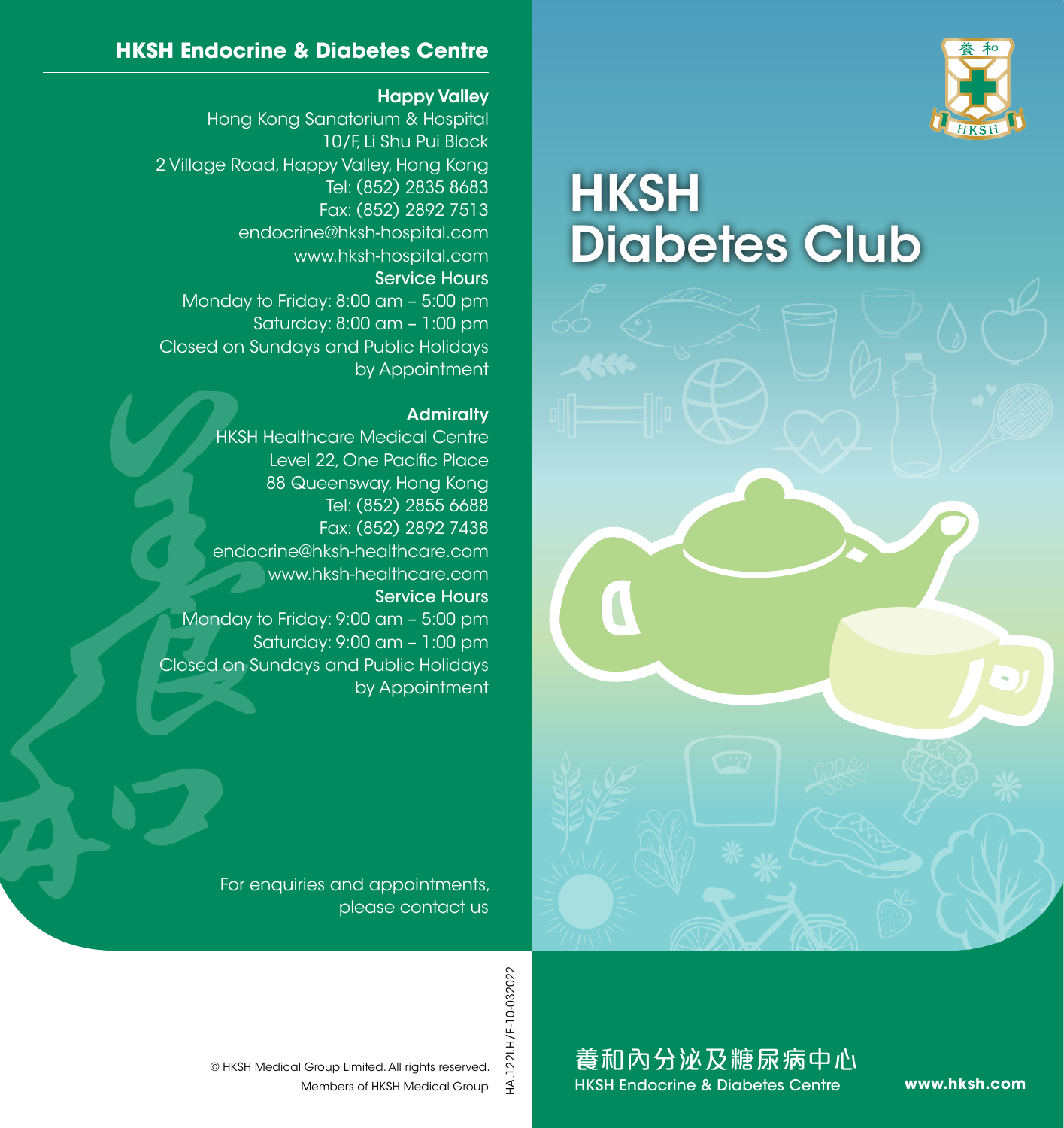

# **HKSH** Diabetes Club



#### **HKSH Endocrine & Diabetes Centre**

#### Happy Valley

Hong Kong Sanatorium & Hospital 10/F, Li Shu Pui Block 2 Village Road, Happy Valley, Hong Kong Tel: (852) 2835 8683 Fax: (852) 2892 7513 endocrine@hksh-hospital.com www.hksh-hospital.com Service Hours Monday to Friday: 8:00 am – 5:00 pm Saturday: 8:00 am – 1:00 pm Closed on Sundays and Public Holidays by Appointment

#### **Admiralty**

HKSH Healthcare Medical Centre Level 22, One Pacific Place 88 Queensway, Hong Kong Tel: (852) 2855 6688 Fax: (852) 2892 7438 endocrine@hksh-healthcare.com www.hksh-healthcare.com Service Hours Monday to Friday: 9:00 am – 5:00 pm Saturday: 9:00 am – 1:00 pm Closed on Sundays and Public Holidays by Appointment

> For enquiries and appointments, please contact us

> > HA.1221.H/E-10-032022 HA.122I.H/E-10-032022

養和內分泌及糖尿病中心 HKSH Endocrine & Diabetes Centre

**www.hksh.com**

Members of HKSH Medical Group © HKSH Medical Group Limited. All rights reserved.